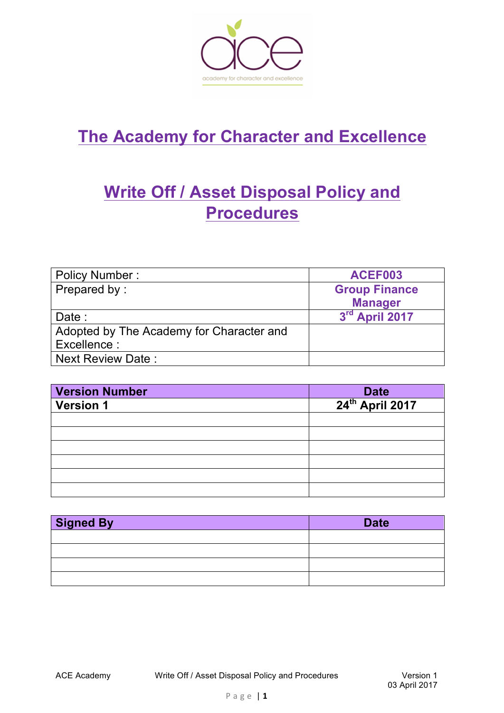

# **The Academy for Character and Excellence**

# **Write Off / Asset Disposal Policy and Procedures**

| <b>Policy Number:</b>                    | ACEF003              |
|------------------------------------------|----------------------|
| Prepared by:                             | <b>Group Finance</b> |
|                                          | <b>Manager</b>       |
| Date:                                    | 3rd April 2017       |
| Adopted by The Academy for Character and |                      |
| Excellence:                              |                      |
| <b>Next Review Date:</b>                 |                      |

| <b>Version Number</b> | <b>Date</b>                 |
|-----------------------|-----------------------------|
| <b>Version 1</b>      | 24 <sup>th</sup> April 2017 |
|                       |                             |
|                       |                             |
|                       |                             |
|                       |                             |
|                       |                             |
|                       |                             |

| <b>Signed By</b> | <b>Date</b> |
|------------------|-------------|
|                  |             |
|                  |             |
|                  |             |
|                  |             |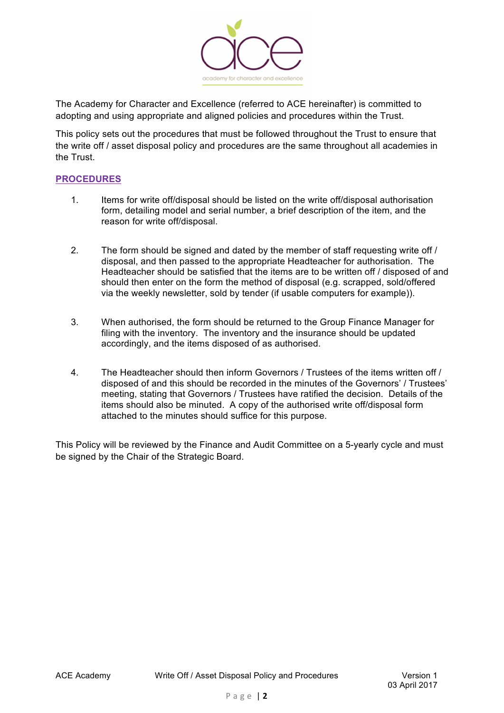

The Academy for Character and Excellence (referred to ACE hereinafter) is committed to adopting and using appropriate and aligned policies and procedures within the Trust.

This policy sets out the procedures that must be followed throughout the Trust to ensure that the write off / asset disposal policy and procedures are the same throughout all academies in the Trust.

#### **PROCEDURES**

- 1. Items for write off/disposal should be listed on the write off/disposal authorisation form, detailing model and serial number, a brief description of the item, and the reason for write off/disposal.
- 2. The form should be signed and dated by the member of staff requesting write off / disposal, and then passed to the appropriate Headteacher for authorisation. The Headteacher should be satisfied that the items are to be written off / disposed of and should then enter on the form the method of disposal (e.g. scrapped, sold/offered via the weekly newsletter, sold by tender (if usable computers for example)).
- 3. When authorised, the form should be returned to the Group Finance Manager for filing with the inventory. The inventory and the insurance should be updated accordingly, and the items disposed of as authorised.
- 4. The Headteacher should then inform Governors / Trustees of the items written off / disposed of and this should be recorded in the minutes of the Governors' / Trustees' meeting, stating that Governors / Trustees have ratified the decision. Details of the items should also be minuted. A copy of the authorised write off/disposal form attached to the minutes should suffice for this purpose.

This Policy will be reviewed by the Finance and Audit Committee on a 5-yearly cycle and must be signed by the Chair of the Strategic Board.